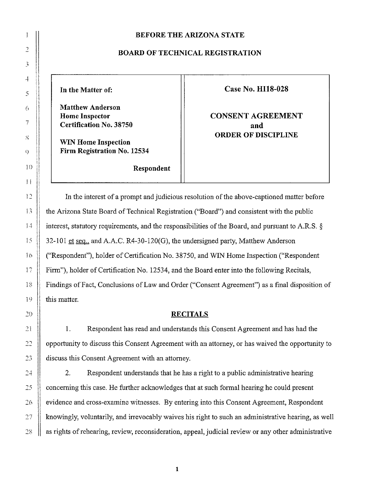#### **BEFORE THE ARIZONA STATE**

#### **BOARD OF TECHNICAL REGISTRATION**

**Matthew Anderson Certification No. 38750 and and** 

**WIN Home Inspection Firm Registration No. 12534** 

In the Matter of: Case No. HI18-028

**Home Inspector Agreement CONSENT AGREEMENT ORDER OF DISCIPLINE** 

**Respondent** 

In the interest of a prompt and judicious resolution of the above-captioned matter before the Arizona State Board of Technical Registration ("Board") and consistent with the public interest, statutory requirements, and the responsibilities of the Board, and pursuant to A.R.S. §  $32-101$  et seq., and A.A.C. R4-30-120(G), the undersigned party, Matthew Anderson ("Respondent"), holder of Certification No. 38750, and WIN Home Inspection ("Respondent Firm"), holder of Certification No. 12534, and the Board enter into the following Recitals, Findings of Fact, Conclusions of Law and Order ("Consent Agreement") as a final disposition of this matter.

#### **RECITALS**

I. Respondent has read and understands this Consent Agreement and has had the opportunity to discuss this Consent Agreement with an attorney, or has waived the opportunity to discuss this Consent Agreement with an attorney.

2. Respondent understands that he has a right to a public administrative hearing concerning this case. He further acknowledges that at such fonnal hearing he could present evidence and cross-examine witnesses. By entering into this Consent Agreement, Respondent knowingly, voluntarily, and irrevocably waives his right to such an administrative hearing, as well as rights of rehearing, review, reconsideration, appeal, judicial review or any other administrative

**1**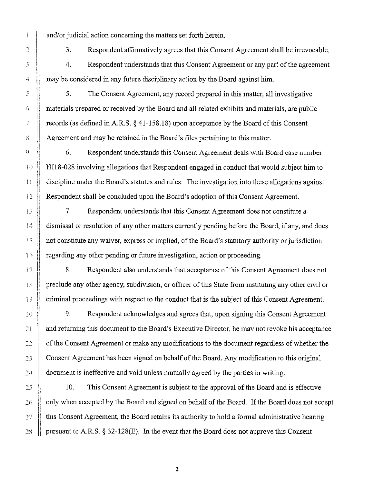and/or judicial action concerning the matters set forth herein.

3 . Respondent affirmatively agrees that this Consent Agreement shall be irrevocable.

4. Respondent understands that this Consent Agreement or any part of the agreement may be considered in any future disciplinary action by the Board against him.

5. The Consent Agreement, any record prepared in this matter, all investigative materials prepared or received by the Board and all related exhibits and materials, are public records (as defined in A.R.S.  $\S$  [41-158.18](https://41-158.18)) upon acceptance by the Board of this Consent Agreement and may be retained in the Board's files pertaining to this matter.

6. Respondent understands this Consent Agreement deals with Board case number HI! 8-028 involving allegations that Respondent engaged in conduct that would subject him to discipline under the Board's statutes and rules. The investigation into these allegations against Respondent shall be concluded upon the Board's adoption of this Consent Agreement.

7. Respondent understands that this Consent Agreement does not constitute a dismissal or resolution of any other matters currently pending before the Board, if any, and does not constitute any waiver, express or implied, of the Board's statutory authority or jurisdiction regarding any other pending or future investigation, action or proceeding.

8. Respondent also understands that acceptance of this Consent Agreement does not preclude any other agency, subdivision, or officer of this State from instituting any other civil or criminal proceedings with respect to the conduct that is the subject of this Consent Agreement.

9. Respondent acknowledges and agrees that, upon signing this Consent Agreement and returning this document to the Board's Executive Director, he may not revoke his acceptance of the Consent Agreement or make any modifications to the document regardless of whether the Consent Agreement has been signed on behalf of the Board. Any modification to this original document is ineffective and void unless mutually agreed by the parties in writing.

IO. This Consent Agreement is subject to the approval of the Board and is effective only when accepted by the Board and signed on behalf of the Board. If the Board does not accept this Consent Agreement, the Board retains its authority to hold a formal administrative hearing pursuant to A.R.S. § 32-128(E). In the event that the Board does not approve this Consent

.,  $\tilde{\lambda}$  $\ddot{+}$  $\mathfrak{S}$ *(;*   $\overline{I}$  $\hat{\mathcal{S}}$ ')  $\left\{ \left\{ \right\} \right\}$ 11  $i2$  $33$  $\downarrow$  $\frac{1}{3}$   $\frac{2}{3}$  $16$ 17 R Þ 20 21  $22$  $23$  $24$ 25 26 27

 $28$ 

**Second** 

2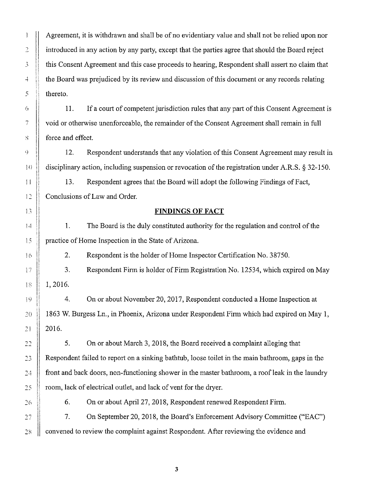Agreement, it is withdrawn and shall be of no evidentiary value and shall not be relied upon nor introduced in any action by any party, except that the parties agree that should the Board reject this Consent Agreement and this case proceeds to hearing, Respondent shall assert no claim that the Board was prejudiced by its review and discussion of this document or any records relating thereto,

.,

 $\hat{\beta}$ 

 $\overline{+}$ 

 $\mathbf{I}$ 

5

 $\mathfrak{h}$ 

7

 $\mathcal{S}$ 

G)

 $\left\{ \begin{array}{c} 1 \\ 1 \end{array} \right\}$ 

 $12$ 

 $\ddagger$  3

 $\frac{4}{3}$  .  $\frac{4}{3}$ 

 $\ddot{5}$ 

 $\frac{3}{2}$  (  $\frac{1}{2}$ 

 $16$ 

計

 $18^{\circ}$ 

*20* 

19

2l

 $22$ 

*23* 

 $2\frac{3}{2}$ 

 $25 -$ 

 $26$ 

II. If a court of competent jurisdiction rules that any part of this Consent Agreement is void or otherwise unenforceable, the remainder of the Consent Agreement shall remain in full force and effect.

12. Respondent understands that any violation of this Consent Agreement may result in disciplinary action, including suspension or revocation of the registration under A.R.S. § 32-150.

13. Respondent agrees that the Board will adopt the following Findings of Fact, Conclusions of Law and Order.

# **FINDINGS OF FACT**

I. The Board is the duly constituted authority for the regulation and control of the practice of Home Inspection in the State of Arizona.

2. Respondent is the holder of Horne Inspector Certification No. 38750.

3. Respondent Finn is holder of Firm Registration No. 12534, which expired on May 1, 2016,

4. On or about November 20, 2017, Respondent conducted a Home Inspection at 1863 W. Burgess Ln., in Phoenix, Arizona under Respondent Firm which had expired on May I, 2016.

5. On or about March 3, 2018, the Board received a complaint alleging that Respondent failed to report on a sinking bathtub, loose toilet in the main bathroom, gaps in the front and back doors, non-functioning shower in the master bathroom, a roof leak in the laundry room, lack of electrical outlet, and lack of vent for the dryer.

7. On September 20, 2018, the Board's Enforcement Advisory Committee ("EAC") 27 convened to review the complaint against Respondent. After reviewing the evidence and 28

3

6. On or about April 27, 2018, Respondent renewed Respondent Firm.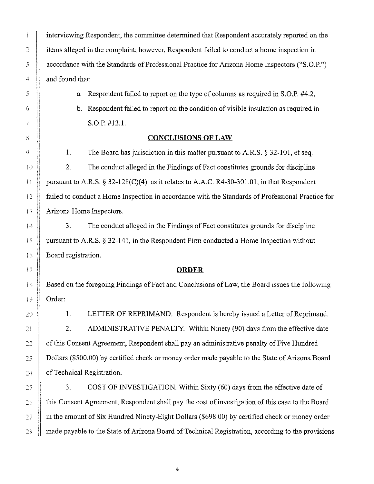$_{\rm total}$  $\sum_{\Delta\infty}$  $\overline{3}$ -1  $\mathfrak{H}$ Ò  $\overline{f}$ s Q  $\{$ 11 12  $13$  $14$ 15 16 17 18 l9 20 21  $22\,$ *23*  준충 25  $26$ 27 28

interviewing Respondent, the committee determined that Respondent accurately reported on the items alleged in the complaint; however, Respondent failed to conduct a home inspection in accordance with the Standards of Professional Practice for Arizona Home Inspectors ("S.O.P.") and found that:

a. Respondent failed to report on the type of columns as required in S.O.P. #4.2,

b. Respondent failed to report on the condition of visible insulation as required in S.O.P. #12.1.

# **CONCLUSIONS OF LAW**

I. The Board has jurisdiction in this matter pursuant to A.R.S. § 32-101, et seq.

2. The conduct alleged in the Findings of Fact constitutes grounds for discipline pursuant to A.R.S. § 32-128(C)(4) as it relates to A.A.C. [R4-30-301.01,](https://R4-30-301.01) in that Respondent failed to conduct a Home Inspection in accordance with the Standards of Professional Practice for Arizona Home Inspectors.

3. The conduct alleged in the Findings of Fact constitutes grounds for discipline pursuant to A.R.S. § 32-141, in the Respondent Firm conducted a Home Inspection without Board registration.

# **ORDER**

Based on the foregoing Findings of Fact and Conclusions of Law, the Board issues the following Order:

I. LETTER OF REPRIMAND. Respondent is hereby issued a Letter of Reprimand. 2. ADMINISTRATIVE PENALTY. Within Ninety (90) days from the effective date of this Consent Agreement, Respondent shall pay an administrative penalty of Five Hundred Dollars (\$500.00) by certified check or money order made payable to the State of Arizona Board of Technical Registration.

3. COST OF INVESTIGATION. Within Sixty (60) days from the effective date of this Consent Agreement, Respondent shall pay the cost of investigation of this case to the Board in the amount of Six Hundred Ninety-Eight Dollars (\$698.00) by certified check or money order made payable to the State of Arizona Board of Technical Registration, according to the provisions

4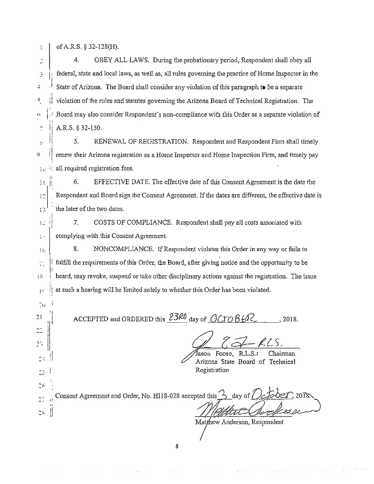|  |  | of A.R.S. $$32-128(H)$ . |
|--|--|--------------------------|
|--|--|--------------------------|

7·

Ť  $2.5\,$ 

 $22$ 

 $\gamma_{\rm{f}}$ 

ţ.

 $\ddot{\cdot}$ 4. OBEY ALL LAWS. During the probationary period, Respondent shall obey all federal, state and local laws, as well as, all mies governing the practice of Home Inspector in the Ř -i State of Arizona. The Board shall consider any violation of this paragraph **to** be a separate if violation of the rules and statutes governing the Arizona Board of Technical Registration. The  $\lvert \cdot \rvert$  Board may also consider Respondent's non-compliance with this Order as a separate violation of  $\bar{z}$  | A.R.S. § 32-150.

5. RENEWAL OF REGISTRATION. Respondent and Respondent Firm shall timely Ñ 9 1 renew their Arizona registration as a Home Inspector and Home Inspection Firm, and timely pay 詩 all required registration fees.  $\mathcal{L}^{\mathcal{A}}$ 

 $\frac{1}{2}$  6. EFFECTIVE DATE. The effective date of this Consent Agreement is the date the  $|\cdot|^2$  Respondent and Board sign the Consent Agreement. If the dates are different, the effective date is  $\mathbb{R}^{\mathbb{N}^{\times}}$  the later of the two dates.

 $\frac{1}{2}$  . ...  $\frac{1}{2}$  . ... COSTS OF COMPLIANCE. Respondent shall pay all costs associated with complying with this Consent Agreement.

8. NONCOMPLIANCE. If Respondent violates this Order in any way or fails to  $\mathbb{I}_3$ fulfill the requirements of this Order, the Board, after giving notice and the opportunity to be  $\frac{1}{2}$  . I'  $\mathbb{R}^n$  i heard, may revoke, suspend or take other disciplinary actions against the registration. The issue  $\epsilon$  it at such a hearing will be limited solely to whether this Order has been violated.

<sup>21</sup>  $\left[\right]$  ACCEPTED and ORDERED this  $\frac{23k0}{2}$  day of  $\frac{6}{\sqrt{70}}$   $\frac{8}{k^2}$ , 2018.

 $\sqrt{3}$ ason Foose, R.L.S.<sup>3</sup> Chairman Arizona State Board of Technical Registration

*--r ..*  Consent Agreement and Order, No. HI18-028 accepted this  $\frac{1}{2}$ day of ∱e l  $\mathbb{C}^{\infty}_{\rm int}$ 

5

Matthew Anderson, Respondent